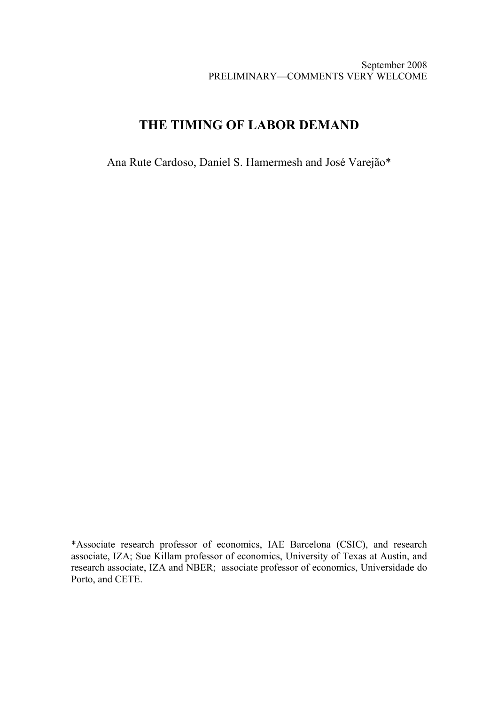September 2008 PRELIMINARY—COMMENTS VERY WELCOME

# **THE TIMING OF LABOR DEMAND**

Ana Rute Cardoso, Daniel S. Hamermesh and José Varejão\*

\*Associate research professor of economics, IAE Barcelona (CSIC), and research associate, IZA; Sue Killam professor of economics, University of Texas at Austin, and research associate, IZA and NBER; associate professor of economics, Universidade do Porto, and CETE.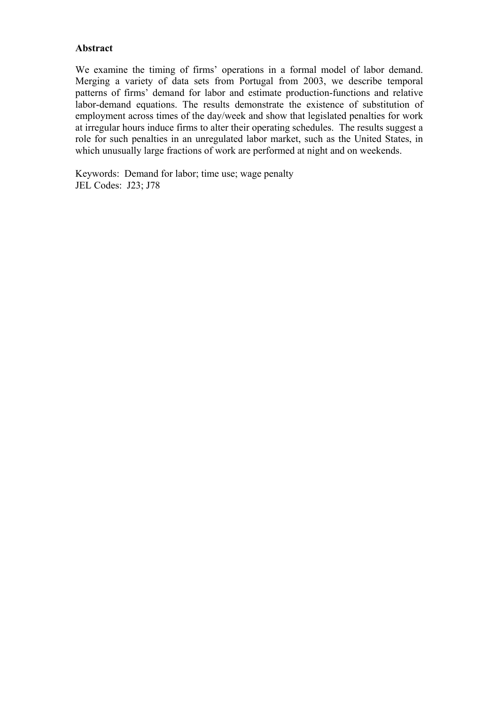## **Abstract**

We examine the timing of firms' operations in a formal model of labor demand. Merging a variety of data sets from Portugal from 2003, we describe temporal patterns of firms' demand for labor and estimate production-functions and relative labor-demand equations. The results demonstrate the existence of substitution of employment across times of the day/week and show that legislated penalties for work at irregular hours induce firms to alter their operating schedules. The results suggest a role for such penalties in an unregulated labor market, such as the United States, in which unusually large fractions of work are performed at night and on weekends.

Keywords: Demand for labor; time use; wage penalty JEL Codes: J23; J78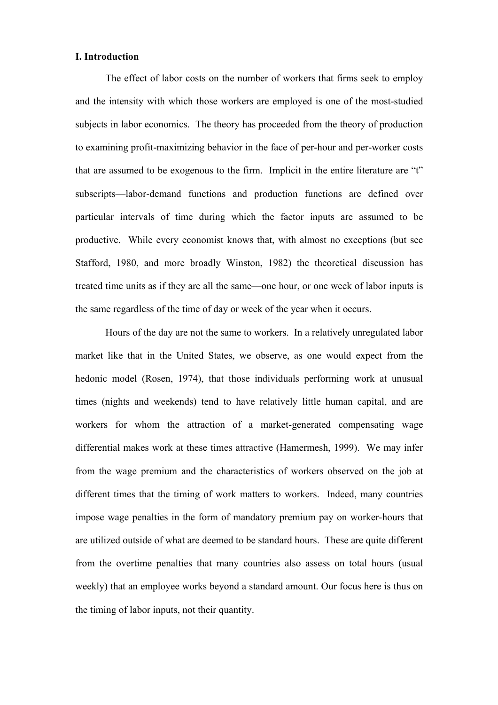#### **I. Introduction**

The effect of labor costs on the number of workers that firms seek to employ and the intensity with which those workers are employed is one of the most-studied subjects in labor economics. The theory has proceeded from the theory of production to examining profit-maximizing behavior in the face of per-hour and per-worker costs that are assumed to be exogenous to the firm. Implicit in the entire literature are "t" subscripts—labor-demand functions and production functions are defined over particular intervals of time during which the factor inputs are assumed to be productive. While every economist knows that, with almost no exceptions (but see Stafford, 1980, and more broadly Winston, 1982) the theoretical discussion has treated time units as if they are all the same—one hour, or one week of labor inputs is the same regardless of the time of day or week of the year when it occurs.

Hours of the day are not the same to workers. In a relatively unregulated labor market like that in the United States, we observe, as one would expect from the hedonic model (Rosen, 1974), that those individuals performing work at unusual times (nights and weekends) tend to have relatively little human capital, and are workers for whom the attraction of a market-generated compensating wage differential makes work at these times attractive (Hamermesh, 1999). We may infer from the wage premium and the characteristics of workers observed on the job at different times that the timing of work matters to workers. Indeed, many countries impose wage penalties in the form of mandatory premium pay on worker-hours that are utilized outside of what are deemed to be standard hours. These are quite different from the overtime penalties that many countries also assess on total hours (usual weekly) that an employee works beyond a standard amount. Our focus here is thus on the timing of labor inputs, not their quantity.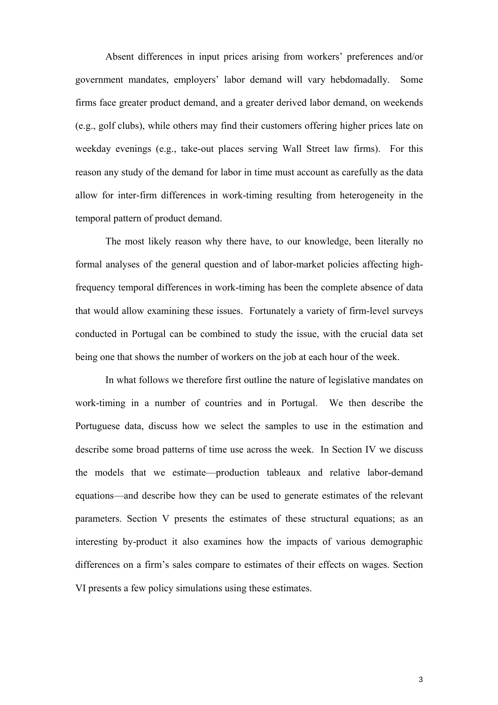Absent differences in input prices arising from workers' preferences and/or government mandates, employers' labor demand will vary hebdomadally. Some firms face greater product demand, and a greater derived labor demand, on weekends (e.g., golf clubs), while others may find their customers offering higher prices late on weekday evenings (e.g., take-out places serving Wall Street law firms). For this reason any study of the demand for labor in time must account as carefully as the data allow for inter-firm differences in work-timing resulting from heterogeneity in the temporal pattern of product demand.

The most likely reason why there have, to our knowledge, been literally no formal analyses of the general question and of labor-market policies affecting highfrequency temporal differences in work-timing has been the complete absence of data that would allow examining these issues. Fortunately a variety of firm-level surveys conducted in Portugal can be combined to study the issue, with the crucial data set being one that shows the number of workers on the job at each hour of the week.

In what follows we therefore first outline the nature of legislative mandates on work-timing in a number of countries and in Portugal. We then describe the Portuguese data, discuss how we select the samples to use in the estimation and describe some broad patterns of time use across the week. In Section IV we discuss the models that we estimate—production tableaux and relative labor-demand equations—and describe how they can be used to generate estimates of the relevant parameters. Section V presents the estimates of these structural equations; as an interesting by-product it also examines how the impacts of various demographic differences on a firm's sales compare to estimates of their effects on wages. Section VI presents a few policy simulations using these estimates.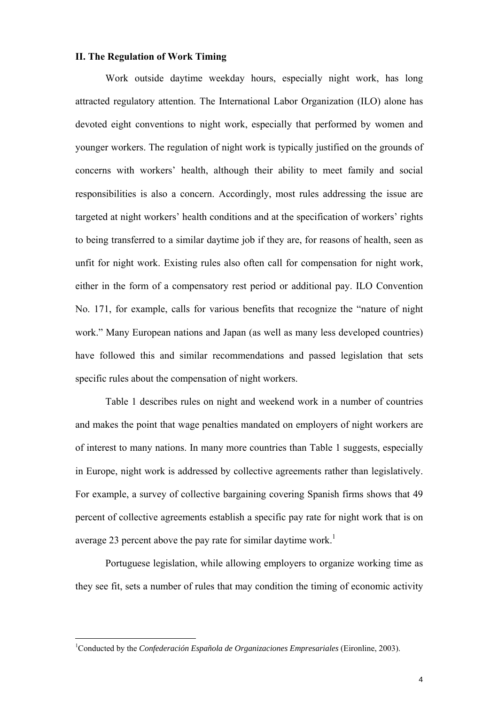### **II. The Regulation of Work Timing**

Work outside daytime weekday hours, especially night work, has long attracted regulatory attention. The International Labor Organization (ILO) alone has devoted eight conventions to night work, especially that performed by women and younger workers. The regulation of night work is typically justified on the grounds of concerns with workers' health, although their ability to meet family and social responsibilities is also a concern. Accordingly, most rules addressing the issue are targeted at night workers' health conditions and at the specification of workers' rights to being transferred to a similar daytime job if they are, for reasons of health, seen as unfit for night work. Existing rules also often call for compensation for night work, either in the form of a compensatory rest period or additional pay. ILO Convention No. 171, for example, calls for various benefits that recognize the "nature of night work." Many European nations and Japan (as well as many less developed countries) have followed this and similar recommendations and passed legislation that sets specific rules about the compensation of night workers.

Table 1 describes rules on night and weekend work in a number of countries and makes the point that wage penalties mandated on employers of night workers are of interest to many nations. In many more countries than Table 1 suggests, especially in Europe, night work is addressed by collective agreements rather than legislatively. For example, a survey of collective bargaining covering Spanish firms shows that 49 percent of collective agreements establish a specific pay rate for night work that is on average 23 percent above the pay rate for similar daytime work.<sup>1</sup>

Portuguese legislation, while allowing employers to organize working time as they see fit, sets a number of rules that may condition the timing of economic activity

<span id="page-4-0"></span><sup>1</sup> Conducted by the *Confederación Española de Organizaciones Empresariales* (Eironline, 2003).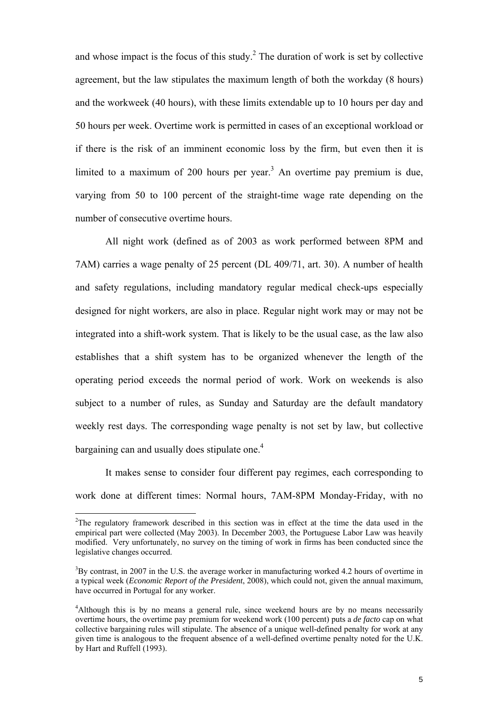and whose impact is the focus of this study.<sup>[2](#page-5-0)</sup> The duration of work is set by collective agreement, but the law stipulates the maximum length of both the workday (8 hours) and the workweek (40 hours), with these limits extendable up to 10 hours per day and 50 hours per week. Overtime work is permitted in cases of an exceptional workload or if there is the risk of an imminent economic loss by the firm, but even then it is limited to a maximum of 200 hours per year.<sup>3</sup> An overtime pay premium is due, varying from 50 to 100 percent of the straight-time wage rate depending on the number of consecutive overtime hours.

All night work (defined as of 2003 as work performed between 8PM and 7AM) carries a wage penalty of 25 percent (DL 409/71, art. 30). A number of health and safety regulations, including mandatory regular medical check-ups especially designed for night workers, are also in place. Regular night work may or may not be integrated into a shift-work system. That is likely to be the usual case, as the law also establishes that a shift system has to be organized whenever the length of the operating period exceeds the normal period of work. Work on weekends is also subject to a number of rules, as Sunday and Saturday are the default mandatory weekly rest days. The corresponding wage penalty is not set by law, but collective bargaining can and usually does stipulate one.<sup>4</sup>

It makes sense to consider four different pay regimes, each corresponding to work done at different times: Normal hours, 7AM-8PM Monday-Friday, with no

<span id="page-5-0"></span> $2$ The regulatory framework described in this section was in effect at the time the data used in the empirical part were collected (May 2003). In December 2003, the Portuguese Labor Law was heavily modified. Very unfortunately, no survey on the timing of work in firms has been conducted since the legislative changes occurred.

<span id="page-5-1"></span> $3$ By contrast, in 2007 in the U.S. the average worker in manufacturing worked 4.2 hours of overtime in a typical week (*Economic Report of the President*, 2008), which could not, given the annual maximum, have occurred in Portugal for any worker.

<span id="page-5-2"></span><sup>&</sup>lt;sup>4</sup>Although this is by no means a general rule, since weekend hours are by no means necessarily overtime hours, the overtime pay premium for weekend work (100 percent) puts a *de facto* cap on what collective bargaining rules will stipulate. The absence of a unique well-defined penalty for work at any given time is analogous to the frequent absence of a well-defined overtime penalty noted for the U.K. by Hart and Ruffell (1993).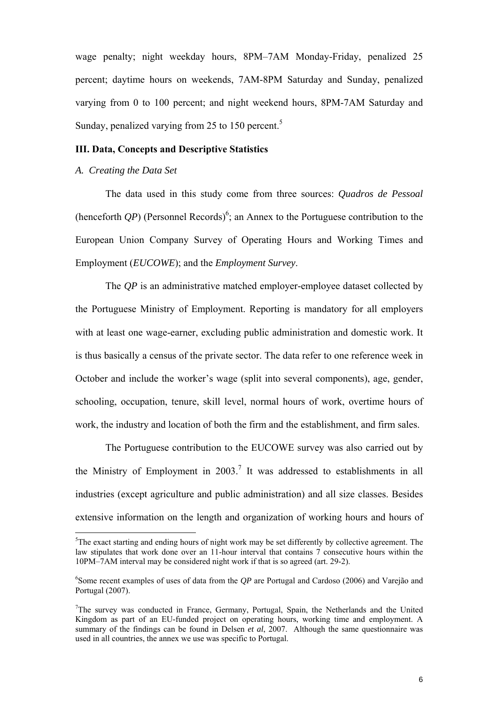wage penalty; night weekday hours, 8PM–7AM Monday-Friday, penalized 25 percent; daytime hours on weekends, 7AM-8PM Saturday and Sunday, penalized varying from 0 to 100 percent; and night weekend hours, 8PM-7AM Saturday and Sunday, penalized varying from 2[5](#page-6-0) to 150 percent. $5$ 

#### **III. Data, Concepts and Descriptive Statistics**

### *A. Creating the Data Set*

 $\overline{a}$ 

The data used in this study come from three sources: *Quadros de Pessoal* (henceforth  $QP$ ) (Personnel Records)<sup>[6](#page-6-1)</sup>; an Annex to the Portuguese contribution to the European Union Company Survey of Operating Hours and Working Times and Employment (*EUCOWE*); and the *Employment Survey*.

The *QP* is an administrative matched employer-employee dataset collected by the Portuguese Ministry of Employment. Reporting is mandatory for all employers with at least one wage-earner, excluding public administration and domestic work. It is thus basically a census of the private sector. The data refer to one reference week in October and include the worker's wage (split into several components), age, gender, schooling, occupation, tenure, skill level, normal hours of work, overtime hours of work, the industry and location of both the firm and the establishment, and firm sales.

The Portuguese contribution to the EUCOWE survey was also carried out by the Ministry of Employment in  $2003$ .<sup>[7](#page-6-2)</sup> It was addressed to establishments in all industries (except agriculture and public administration) and all size classes. Besides extensive information on the length and organization of working hours and hours of

<span id="page-6-0"></span> $5$ The exact starting and ending hours of night work may be set differently by collective agreement. The law stipulates that work done over an 11-hour interval that contains 7 consecutive hours within the 10PM–7AM interval may be considered night work if that is so agreed (art. 29-2).

<span id="page-6-1"></span><sup>6</sup> Some recent examples of uses of data from the *QP* are Portugal and Cardoso (2006) and Varejão and Portugal (2007).

<span id="page-6-2"></span><sup>&</sup>lt;sup>7</sup>The survey was conducted in France, Germany, Portugal, Spain, the Netherlands and the United Kingdom as part of an EU-funded project on operating hours, working time and employment. A summary of the findings can be found in Delsen *et al*, 2007. Although the same questionnaire was used in all countries, the annex we use was specific to Portugal.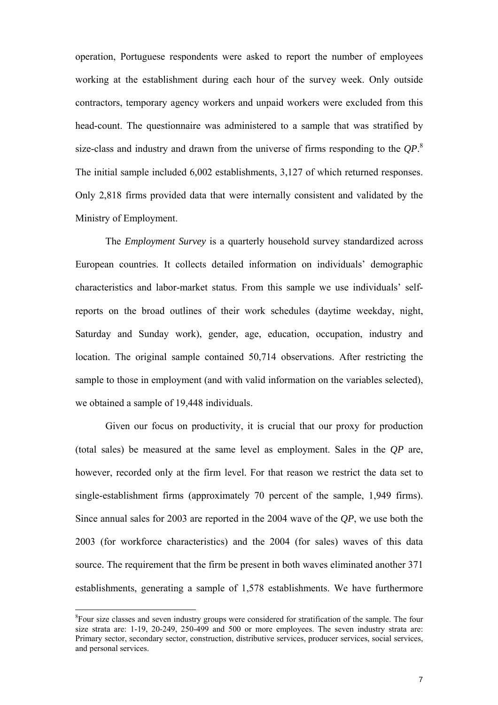operation, Portuguese respondents were asked to report the number of employees working at the establishment during each hour of the survey week. Only outside contractors, temporary agency workers and unpaid workers were excluded from this head-count. The questionnaire was administered to a sample that was stratified by size-class and industry and drawn from the universe of firms responding to the *QP*. [8](#page-7-0) The initial sample included 6,002 establishments, 3,127 of which returned responses. Only 2,818 firms provided data that were internally consistent and validated by the Ministry of Employment.

The *Employment Survey* is a quarterly household survey standardized across European countries. It collects detailed information on individuals' demographic characteristics and labor-market status. From this sample we use individuals' selfreports on the broad outlines of their work schedules (daytime weekday, night, Saturday and Sunday work), gender, age, education, occupation, industry and location. The original sample contained 50,714 observations. After restricting the sample to those in employment (and with valid information on the variables selected), we obtained a sample of 19,448 individuals.

Given our focus on productivity, it is crucial that our proxy for production (total sales) be measured at the same level as employment. Sales in the *QP* are, however, recorded only at the firm level. For that reason we restrict the data set to single-establishment firms (approximately 70 percent of the sample, 1,949 firms). Since annual sales for 2003 are reported in the 2004 wave of the *QP*, we use both the 2003 (for workforce characteristics) and the 2004 (for sales) waves of this data source. The requirement that the firm be present in both waves eliminated another 371 establishments, generating a sample of 1,578 establishments. We have furthermore

<span id="page-7-0"></span><sup>&</sup>lt;sup>8</sup>Four size classes and seven industry groups were considered for stratification of the sample. The four size strata are: 1-19, 20-249, 250-499 and 500 or more employees. The seven industry strata are: Primary sector, secondary sector, construction, distributive services, producer services, social services, and personal services.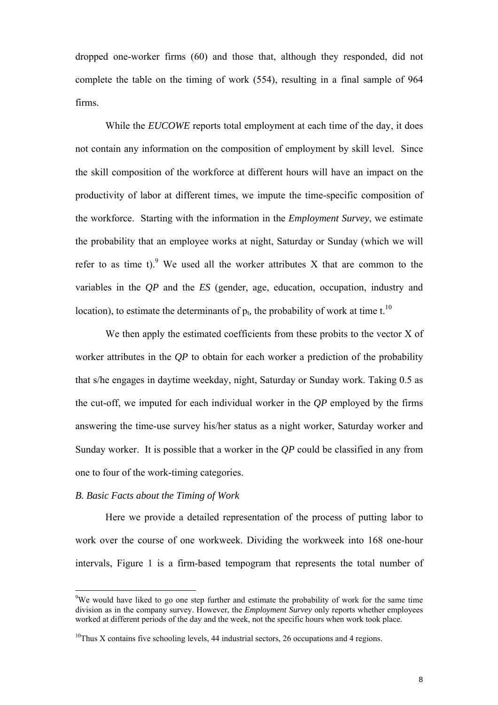dropped one-worker firms (60) and those that, although they responded, did not complete the table on the timing of work (554), resulting in a final sample of 964 firms.

While the *EUCOWE* reports total employment at each time of the day, it does not contain any information on the composition of employment by skill level. Since the skill composition of the workforce at different hours will have an impact on the productivity of labor at different times, we impute the time-specific composition of the workforce. Starting with the information in the *Employment Survey*, we estimate the probability that an employee works at night, Saturday or Sunday (which we will refer to as time t). <sup>9</sup> We used all the worker attributes X that are common to the variables in the *QP* and the *ES* (gender, age, education, occupation, industry and location), to estimate the determinants of  $p_t$ , the probability of work at time t.<sup>[10](#page-8-1)</sup>

We then apply the estimated coefficients from these probits to the vector X of worker attributes in the *QP* to obtain for each worker a prediction of the probability that s/he engages in daytime weekday, night, Saturday or Sunday work. Taking 0.5 as the cut-off, we imputed for each individual worker in the *QP* employed by the firms answering the time-use survey his/her status as a night worker, Saturday worker and Sunday worker. It is possible that a worker in the *QP* could be classified in any from one to four of the work-timing categories.

### *B. Basic Facts about the Timing of Work*

 $\overline{a}$ 

Here we provide a detailed representation of the process of putting labor to work over the course of one workweek. Dividing the workweek into 168 one-hour intervals, Figure 1 is a firm-based tempogram that represents the total number of

<span id="page-8-0"></span><sup>&</sup>lt;sup>9</sup>We would have liked to go one step further and estimate the probability of work for the same time division as in the company survey. However, the *Employment Survey* only reports whether employees worked at different periods of the day and the week, not the specific hours when work took place.

<span id="page-8-1"></span> $10$ Thus X contains five schooling levels, 44 industrial sectors, 26 occupations and 4 regions.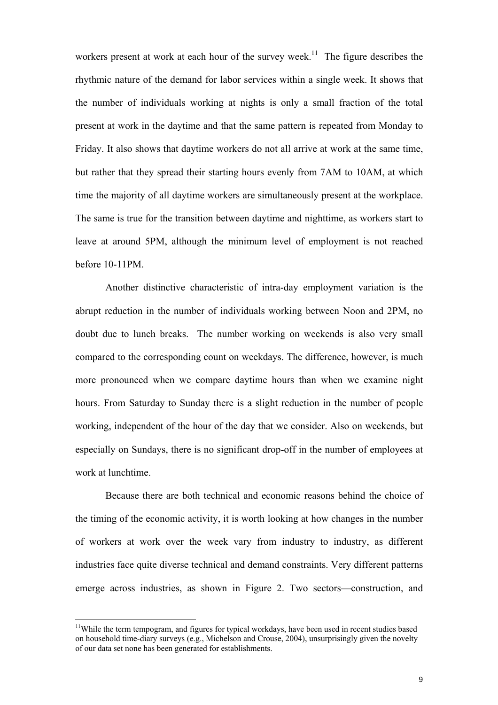workers present at work at each hour of the survey week.<sup>11</sup> The figure describes the rhythmic nature of the demand for labor services within a single week. It shows that the number of individuals working at nights is only a small fraction of the total present at work in the daytime and that the same pattern is repeated from Monday to Friday. It also shows that daytime workers do not all arrive at work at the same time, but rather that they spread their starting hours evenly from 7AM to 10AM, at which time the majority of all daytime workers are simultaneously present at the workplace. The same is true for the transition between daytime and nighttime, as workers start to leave at around 5PM, although the minimum level of employment is not reached before 10-11PM.

Another distinctive characteristic of intra-day employment variation is the abrupt reduction in the number of individuals working between Noon and 2PM, no doubt due to lunch breaks. The number working on weekends is also very small compared to the corresponding count on weekdays. The difference, however, is much more pronounced when we compare daytime hours than when we examine night hours. From Saturday to Sunday there is a slight reduction in the number of people working, independent of the hour of the day that we consider. Also on weekends, but especially on Sundays, there is no significant drop-off in the number of employees at work at lunchtime.

Because there are both technical and economic reasons behind the choice of the timing of the economic activity, it is worth looking at how changes in the number of workers at work over the week vary from industry to industry, as different industries face quite diverse technical and demand constraints. Very different patterns emerge across industries, as shown in Figure 2. Two sectors—construction, and

<span id="page-9-0"></span> $11$ While the term tempogram, and figures for typical workdays, have been used in recent studies based on household time-diary surveys (e.g., Michelson and Crouse, 2004), unsurprisingly given the novelty of our data set none has been generated for establishments.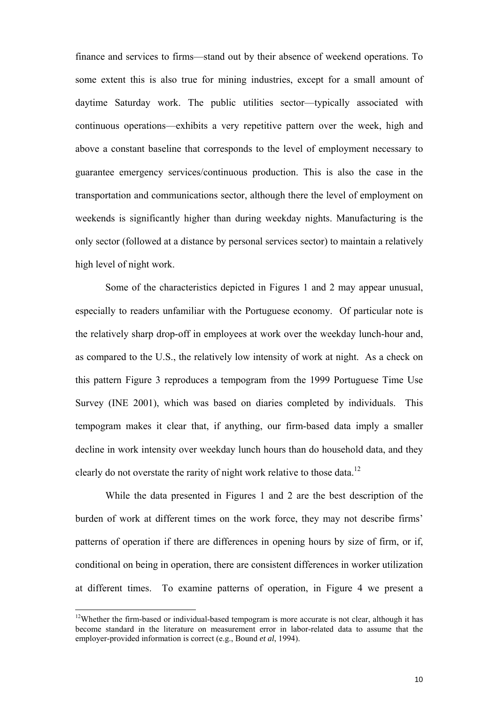finance and services to firms—stand out by their absence of weekend operations. To some extent this is also true for mining industries, except for a small amount of daytime Saturday work. The public utilities sector—typically associated with continuous operations—exhibits a very repetitive pattern over the week, high and above a constant baseline that corresponds to the level of employment necessary to guarantee emergency services/continuous production. This is also the case in the transportation and communications sector, although there the level of employment on weekends is significantly higher than during weekday nights. Manufacturing is the only sector (followed at a distance by personal services sector) to maintain a relatively high level of night work.

Some of the characteristics depicted in Figures 1 and 2 may appear unusual, especially to readers unfamiliar with the Portuguese economy. Of particular note is the relatively sharp drop-off in employees at work over the weekday lunch-hour and, as compared to the U.S., the relatively low intensity of work at night. As a check on this pattern Figure 3 reproduces a tempogram from the 1999 Portuguese Time Use Survey (INE 2001), which was based on diaries completed by individuals. This tempogram makes it clear that, if anything, our firm-based data imply a smaller decline in work intensity over weekday lunch hours than do household data, and they clearly do not overstate the rarity of night work relative to those data.<sup>[12](#page-10-0)</sup>

While the data presented in Figures 1 and 2 are the best description of the burden of work at different times on the work force, they may not describe firms' patterns of operation if there are differences in opening hours by size of firm, or if, conditional on being in operation, there are consistent differences in worker utilization at different times. To examine patterns of operation, in Figure 4 we present a

<span id="page-10-0"></span><sup>&</sup>lt;sup>12</sup>Whether the firm-based or individual-based tempogram is more accurate is not clear, although it has become standard in the literature on measurement error in labor-related data to assume that the employer-provided information is correct (e.g., Bound *et al*, 1994).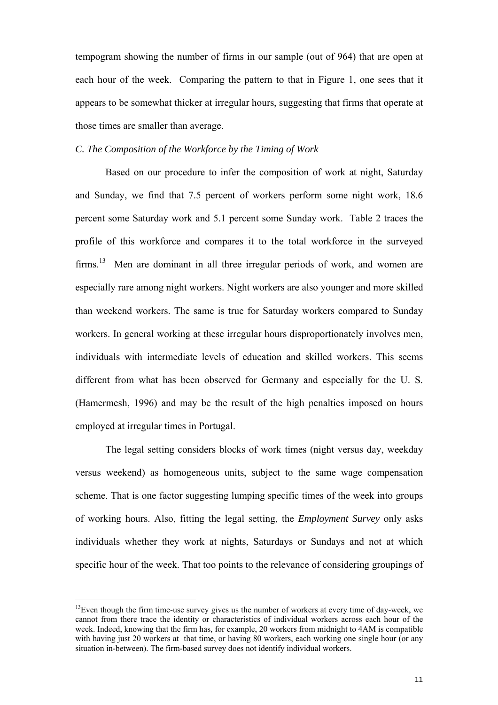tempogram showing the number of firms in our sample (out of 964) that are open at each hour of the week. Comparing the pattern to that in Figure 1, one sees that it appears to be somewhat thicker at irregular hours, suggesting that firms that operate at those times are smaller than average.

#### *C. The Composition of the Workforce by the Timing of Work*

Based on our procedure to infer the composition of work at night, Saturday and Sunday, we find that 7.5 percent of workers perform some night work, 18.6 percent some Saturday work and 5.1 percent some Sunday work. Table 2 traces the profile of this workforce and compares it to the total workforce in the surveyed  $firms.<sup>13</sup>$  Men are dominant in all three irregular periods of work, and women are especially rare among night workers. Night workers are also younger and more skilled than weekend workers. The same is true for Saturday workers compared to Sunday workers. In general working at these irregular hours disproportionately involves men, individuals with intermediate levels of education and skilled workers. This seems different from what has been observed for Germany and especially for the U. S. (Hamermesh, 1996) and may be the result of the high penalties imposed on hours employed at irregular times in Portugal.

The legal setting considers blocks of work times (night versus day, weekday versus weekend) as homogeneous units, subject to the same wage compensation scheme. That is one factor suggesting lumping specific times of the week into groups of working hours. Also, fitting the legal setting, the *Employment Survey* only asks individuals whether they work at nights, Saturdays or Sundays and not at which specific hour of the week. That too points to the relevance of considering groupings of

<span id="page-11-0"></span> $<sup>13</sup>$ Even though the firm time-use survey gives us the number of workers at every time of day-week, we</sup> cannot from there trace the identity or characteristics of individual workers across each hour of the week. Indeed, knowing that the firm has, for example, 20 workers from midnight to 4AM is compatible with having just 20 workers at that time, or having 80 workers, each working one single hour (or any situation in-between). The firm-based survey does not identify individual workers.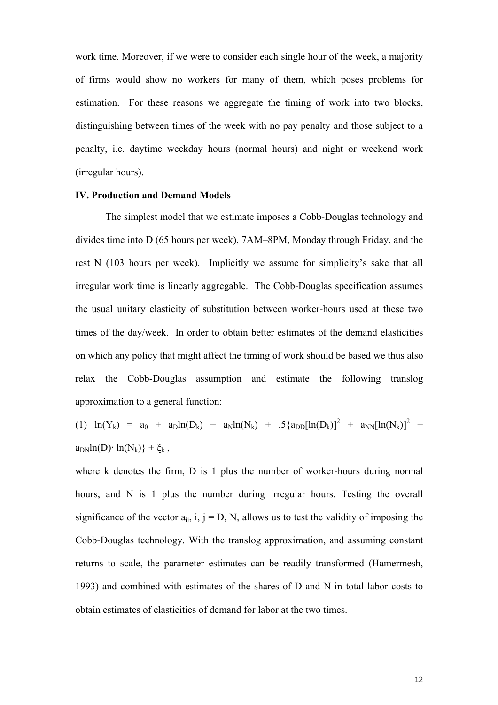work time. Moreover, if we were to consider each single hour of the week, a majority of firms would show no workers for many of them, which poses problems for estimation. For these reasons we aggregate the timing of work into two blocks, distinguishing between times of the week with no pay penalty and those subject to a penalty, i.e. daytime weekday hours (normal hours) and night or weekend work (irregular hours).

#### **IV. Production and Demand Models**

The simplest model that we estimate imposes a Cobb-Douglas technology and divides time into D (65 hours per week), 7AM–8PM, Monday through Friday, and the rest N (103 hours per week). Implicitly we assume for simplicity's sake that all irregular work time is linearly aggregable. The Cobb-Douglas specification assumes the usual unitary elasticity of substitution between worker-hours used at these two times of the day/week. In order to obtain better estimates of the demand elasticities on which any policy that might affect the timing of work should be based we thus also relax the Cobb-Douglas assumption and estimate the following translog approximation to a general function:

(1)  $\ln(Y_k) = a_0 + a_0 \ln(D_k) + a_0 \ln(N_k) + .5 \{a_0 \ln(D_k)\}^2 + a_0 \ln(N_k) \}^2$  $a_{DN}$ ln(D)· ln(N<sub>k</sub>)} + ξ<sub>k</sub>,

where k denotes the firm, D is 1 plus the number of worker-hours during normal hours, and N is 1 plus the number during irregular hours. Testing the overall significance of the vector  $a_{ii}$ , i,  $j = D$ , N, allows us to test the validity of imposing the Cobb-Douglas technology. With the translog approximation, and assuming constant returns to scale, the parameter estimates can be readily transformed (Hamermesh, 1993) and combined with estimates of the shares of D and N in total labor costs to obtain estimates of elasticities of demand for labor at the two times.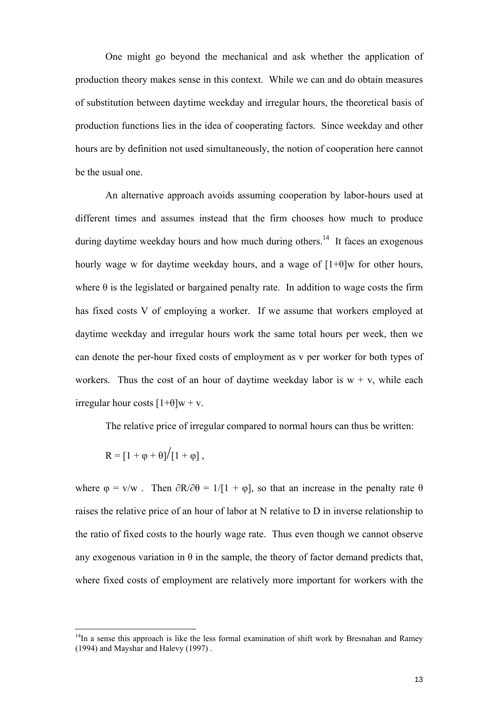One might go beyond the mechanical and ask whether the application of production theory makes sense in this context. While we can and do obtain measures of substitution between daytime weekday and irregular hours, the theoretical basis of production functions lies in the idea of cooperating factors. Since weekday and other hours are by definition not used simultaneously, the notion of cooperation here cannot be the usual one.

An alternative approach avoids assuming cooperation by labor-hours used at different times and assumes instead that the firm chooses how much to produce during daytime weekday hours and how much during others.<sup>14</sup> It faces an exogenous hourly wage w for daytime weekday hours, and a wage of  $[1+\theta]$ w for other hours, where  $\theta$  is the legislated or bargained penalty rate. In addition to wage costs the firm has fixed costs V of employing a worker. If we assume that workers employed at daytime weekday and irregular hours work the same total hours per week, then we can denote the per-hour fixed costs of employment as v per worker for both types of workers. Thus the cost of an hour of daytime weekday labor is  $w + v$ , while each irregular hour costs  $[1+\theta]w + v$ .

The relative price of irregular compared to normal hours can thus be written:

$$
R=[1+\phi+\theta]\big/[1+\phi]\;,
$$

 $\overline{a}$ 

where  $\varphi = v/w$ . Then  $\partial R/\partial \theta = 1/[1 + \varphi]$ , so that an increase in the penalty rate  $\theta$ raises the relative price of an hour of labor at N relative to D in inverse relationship to the ratio of fixed costs to the hourly wage rate. Thus even though we cannot observe any exogenous variation in  $\theta$  in the sample, the theory of factor demand predicts that, where fixed costs of employment are relatively more important for workers with the

<span id="page-13-0"></span> $14$ In a sense this approach is like the less formal examination of shift work by Bresnahan and Ramey (1994) and Mayshar and Halevy (1997) .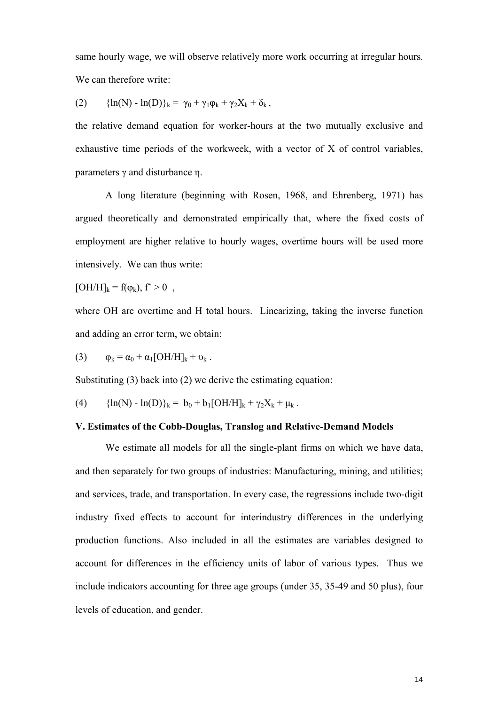same hourly wage, we will observe relatively more work occurring at irregular hours. We can therefore write:

(2) 
$$
\{ln(N) - ln(D)\}_k = \gamma_0 + \gamma_1 \varphi_k + \gamma_2 X_k + \delta_k,
$$

the relative demand equation for worker-hours at the two mutually exclusive and exhaustive time periods of the workweek, with a vector of X of control variables, parameters γ and disturbance η.

A long literature (beginning with Rosen, 1968, and Ehrenberg, 1971) has argued theoretically and demonstrated empirically that, where the fixed costs of employment are higher relative to hourly wages, overtime hours will be used more intensively. We can thus write:

 $[OH/H]_k = f(\varphi_k), f^* > 0$ ,

where OH are overtime and H total hours. Linearizing, taking the inverse function and adding an error term, we obtain:

(3) 
$$
\varphi_k = \alpha_0 + \alpha_1 [OH/H]_k + \nu_k.
$$

Substituting (3) back into (2) we derive the estimating equation:

(4)  ${\ln(N) - \ln(D)}_k = b_0 + b_1[OH/H]_k + \gamma_2 X_k + \mu_k$ .

# **V. Estimates of the Cobb-Douglas, Translog and Relative-Demand Models**

We estimate all models for all the single-plant firms on which we have data, and then separately for two groups of industries: Manufacturing, mining, and utilities; and services, trade, and transportation. In every case, the regressions include two-digit industry fixed effects to account for interindustry differences in the underlying production functions. Also included in all the estimates are variables designed to account for differences in the efficiency units of labor of various types. Thus we include indicators accounting for three age groups (under 35, 35-49 and 50 plus), four levels of education, and gender.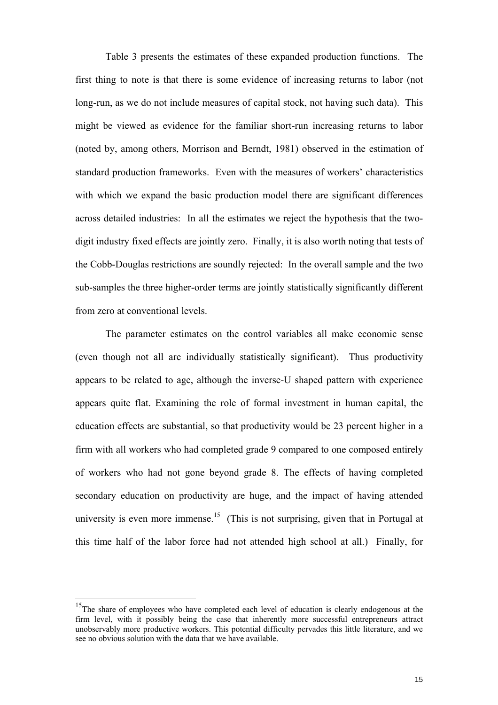Table 3 presents the estimates of these expanded production functions. The first thing to note is that there is some evidence of increasing returns to labor (not long-run, as we do not include measures of capital stock, not having such data). This might be viewed as evidence for the familiar short-run increasing returns to labor (noted by, among others, Morrison and Berndt, 1981) observed in the estimation of standard production frameworks. Even with the measures of workers' characteristics with which we expand the basic production model there are significant differences across detailed industries: In all the estimates we reject the hypothesis that the twodigit industry fixed effects are jointly zero. Finally, it is also worth noting that tests of the Cobb-Douglas restrictions are soundly rejected: In the overall sample and the two sub-samples the three higher-order terms are jointly statistically significantly different from zero at conventional levels.

The parameter estimates on the control variables all make economic sense (even though not all are individually statistically significant). Thus productivity appears to be related to age, although the inverse-U shaped pattern with experience appears quite flat. Examining the role of formal investment in human capital, the education effects are substantial, so that productivity would be 23 percent higher in a firm with all workers who had completed grade 9 compared to one composed entirely of workers who had not gone beyond grade 8. The effects of having completed secondary education on productivity are huge, and the impact of having attended university is even more immense.<sup>15</sup> (This is not surprising, given that in Portugal at this time half of the labor force had not attended high school at all.) Finally, for

<span id="page-15-0"></span><sup>&</sup>lt;sup>15</sup>The share of employees who have completed each level of education is clearly endogenous at the firm level, with it possibly being the case that inherently more successful entrepreneurs attract unobservably more productive workers. This potential difficulty pervades this little literature, and we see no obvious solution with the data that we have available.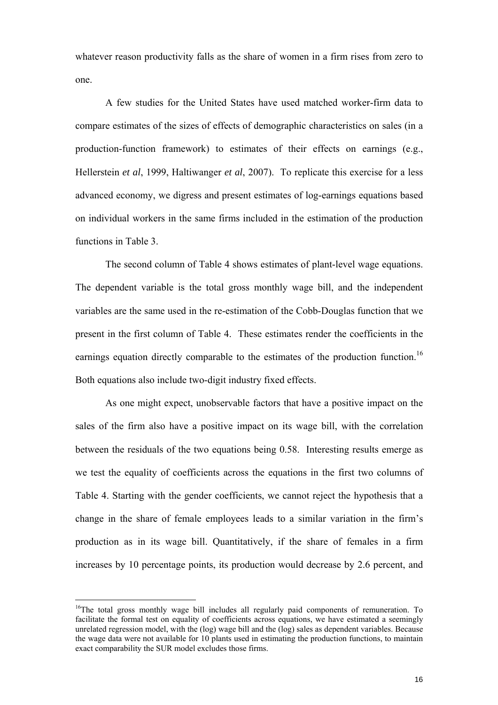whatever reason productivity falls as the share of women in a firm rises from zero to one.

A few studies for the United States have used matched worker-firm data to compare estimates of the sizes of effects of demographic characteristics on sales (in a production-function framework) to estimates of their effects on earnings (e.g., Hellerstein *et al*, 1999, Haltiwanger *et al*, 2007). To replicate this exercise for a less advanced economy, we digress and present estimates of log-earnings equations based on individual workers in the same firms included in the estimation of the production functions in Table 3.

The second column of Table 4 shows estimates of plant-level wage equations. The dependent variable is the total gross monthly wage bill, and the independent variables are the same used in the re-estimation of the Cobb-Douglas function that we present in the first column of Table 4. These estimates render the coefficients in the earnings equation directly comparable to the estimates of the production function.<sup>16</sup> Both equations also include two-digit industry fixed effects.

As one might expect, unobservable factors that have a positive impact on the sales of the firm also have a positive impact on its wage bill, with the correlation between the residuals of the two equations being 0.58. Interesting results emerge as we test the equality of coefficients across the equations in the first two columns of Table 4. Starting with the gender coefficients, we cannot reject the hypothesis that a change in the share of female employees leads to a similar variation in the firm's production as in its wage bill. Quantitatively, if the share of females in a firm increases by 10 percentage points, its production would decrease by 2.6 percent, and

<span id="page-16-0"></span> $16$ The total gross monthly wage bill includes all regularly paid components of remuneration. To facilitate the formal test on equality of coefficients across equations, we have estimated a seemingly unrelated regression model, with the (log) wage bill and the (log) sales as dependent variables. Because the wage data were not available for 10 plants used in estimating the production functions, to maintain exact comparability the SUR model excludes those firms.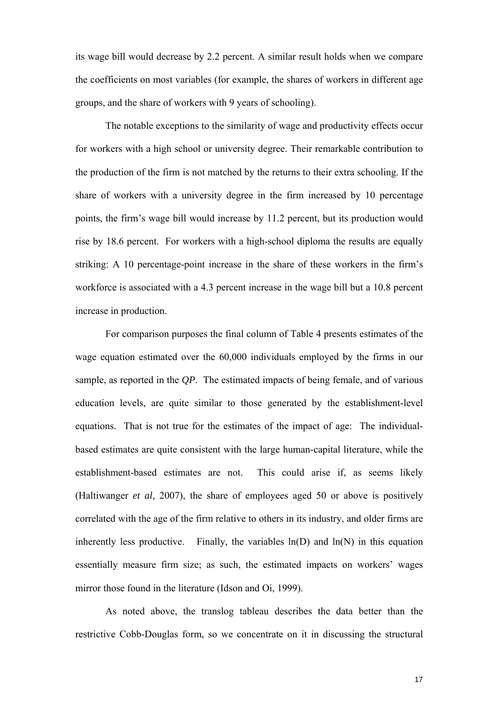its wage bill would decrease by 2.2 percent. A similar result holds when we compare the coefficients on most variables (for example, the shares of workers in different age groups, and the share of workers with 9 years of schooling).

The notable exceptions to the similarity of wage and productivity effects occur for workers with a high school or university degree. Their remarkable contribution to the production of the firm is not matched by the returns to their extra schooling. If the share of workers with a university degree in the firm increased by 10 percentage points, the firm's wage bill would increase by 11.2 percent, but its production would rise by 18.6 percent. For workers with a high-school diploma the results are equally striking: A 10 percentage-point increase in the share of these workers in the firm's workforce is associated with a 4.3 percent increase in the wage bill but a 10.8 percent increase in production.

For comparison purposes the final column of Table 4 presents estimates of the wage equation estimated over the 60,000 individuals employed by the firms in our sample, as reported in the *QP*. The estimated impacts of being female, and of various education levels, are quite similar to those generated by the establishment-level equations. That is not true for the estimates of the impact of age: The individualbased estimates are quite consistent with the large human-capital literature, while the establishment-based estimates are not. This could arise if, as seems likely (Haltiwanger *et al*, 2007), the share of employees aged 50 or above is positively correlated with the age of the firm relative to others in its industry, and older firms are inherently less productive. Finally, the variables  $ln(D)$  and  $ln(N)$  in this equation essentially measure firm size; as such, the estimated impacts on workers' wages mirror those found in the literature (Idson and Oi, 1999).

As noted above, the translog tableau describes the data better than the restrictive Cobb-Douglas form, so we concentrate on it in discussing the structural

17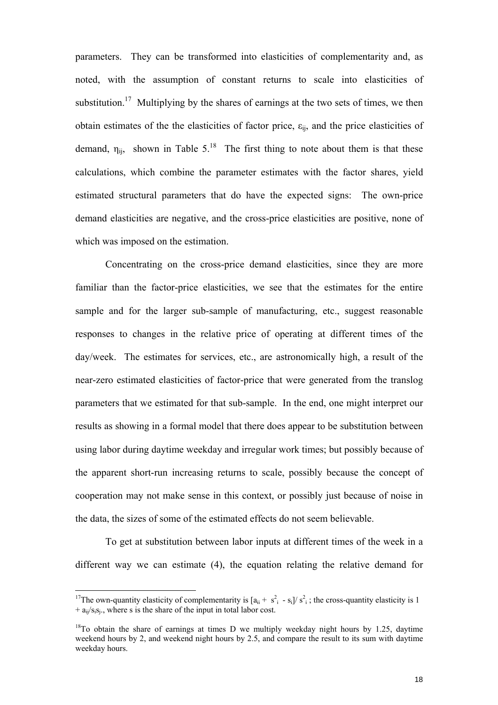parameters. They can be transformed into elasticities of complementarity and, as noted, with the assumption of constant returns to scale into elasticities of substitution.<sup>17</sup> Multiplying by the shares of earnings at the two sets of times, we then obtain estimates of the the elasticities of factor price,  $\varepsilon_{ii}$ , and the price elasticities of demand,  $\eta_{ii}$ , shown in Table 5.<sup>18</sup> The first thing to note about them is that these calculations, which combine the parameter estimates with the factor shares, yield estimated structural parameters that do have the expected signs: The own-price demand elasticities are negative, and the cross-price elasticities are positive, none of which was imposed on the estimation.

Concentrating on the cross-price demand elasticities, since they are more familiar than the factor-price elasticities, we see that the estimates for the entire sample and for the larger sub-sample of manufacturing, etc., suggest reasonable responses to changes in the relative price of operating at different times of the day/week. The estimates for services, etc., are astronomically high, a result of the near-zero estimated elasticities of factor-price that were generated from the translog parameters that we estimated for that sub-sample. In the end, one might interpret our results as showing in a formal model that there does appear to be substitution between using labor during daytime weekday and irregular work times; but possibly because of the apparent short-run increasing returns to scale, possibly because the concept of cooperation may not make sense in this context, or possibly just because of noise in the data, the sizes of some of the estimated effects do not seem believable.

To get at substitution between labor inputs at different times of the week in a different way we can estimate (4), the equation relating the relative demand for

<span id="page-18-0"></span><sup>&</sup>lt;sup>17</sup>The own-quantity elasticity of complementarity is  $[a_{ii} + s_{i}^2 - s_i]/s_i^2$ ; the cross-quantity elasticity is 1  $+ a_{ii}/s_i s_i$ , where s is the share of the input in total labor cost.

<span id="page-18-1"></span> $18$ To obtain the share of earnings at times D we multiply weekday night hours by 1.25, daytime weekend hours by 2, and weekend night hours by 2.5, and compare the result to its sum with daytime weekday hours.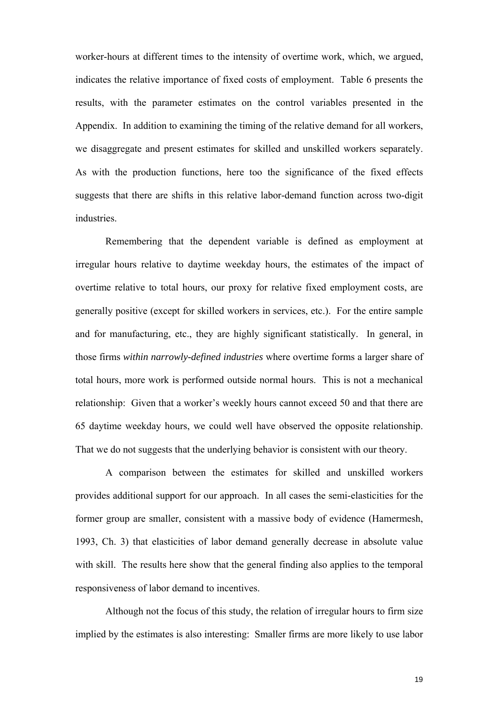worker-hours at different times to the intensity of overtime work, which, we argued, indicates the relative importance of fixed costs of employment. Table 6 presents the results, with the parameter estimates on the control variables presented in the Appendix. In addition to examining the timing of the relative demand for all workers, we disaggregate and present estimates for skilled and unskilled workers separately. As with the production functions, here too the significance of the fixed effects suggests that there are shifts in this relative labor-demand function across two-digit industries.

Remembering that the dependent variable is defined as employment at irregular hours relative to daytime weekday hours, the estimates of the impact of overtime relative to total hours, our proxy for relative fixed employment costs, are generally positive (except for skilled workers in services, etc.). For the entire sample and for manufacturing, etc., they are highly significant statistically. In general, in those firms *within narrowly-defined industries* where overtime forms a larger share of total hours, more work is performed outside normal hours. This is not a mechanical relationship: Given that a worker's weekly hours cannot exceed 50 and that there are 65 daytime weekday hours, we could well have observed the opposite relationship. That we do not suggests that the underlying behavior is consistent with our theory.

A comparison between the estimates for skilled and unskilled workers provides additional support for our approach. In all cases the semi-elasticities for the former group are smaller, consistent with a massive body of evidence (Hamermesh, 1993, Ch. 3) that elasticities of labor demand generally decrease in absolute value with skill. The results here show that the general finding also applies to the temporal responsiveness of labor demand to incentives.

Although not the focus of this study, the relation of irregular hours to firm size implied by the estimates is also interesting: Smaller firms are more likely to use labor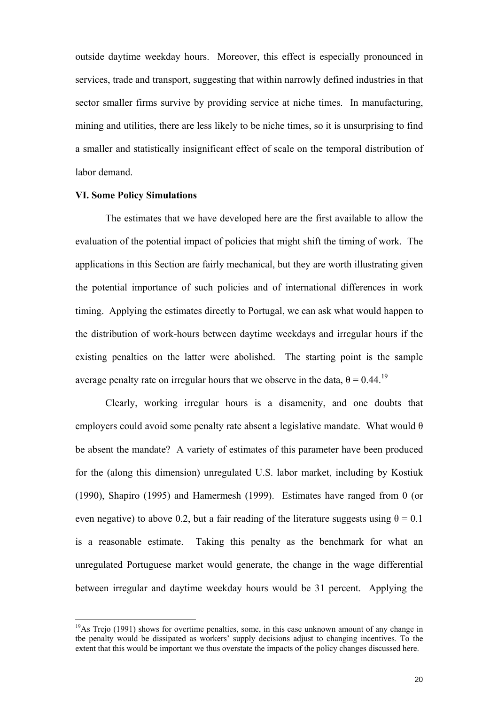outside daytime weekday hours. Moreover, this effect is especially pronounced in services, trade and transport, suggesting that within narrowly defined industries in that sector smaller firms survive by providing service at niche times. In manufacturing, mining and utilities, there are less likely to be niche times, so it is unsurprising to find a smaller and statistically insignificant effect of scale on the temporal distribution of labor demand.

### **VI. Some Policy Simulations**

 $\overline{a}$ 

The estimates that we have developed here are the first available to allow the evaluation of the potential impact of policies that might shift the timing of work. The applications in this Section are fairly mechanical, but they are worth illustrating given the potential importance of such policies and of international differences in work timing. Applying the estimates directly to Portugal, we can ask what would happen to the distribution of work-hours between daytime weekdays and irregular hours if the existing penalties on the latter were abolished. The starting point is the sample average penalty rate on irregular hours that we observe in the data,  $\theta = 0.44$ .<sup>19</sup>

Clearly, working irregular hours is a disamenity, and one doubts that employers could avoid some penalty rate absent a legislative mandate. What would  $\theta$ be absent the mandate? A variety of estimates of this parameter have been produced for the (along this dimension) unregulated U.S. labor market, including by Kostiuk (1990), Shapiro (1995) and Hamermesh (1999). Estimates have ranged from 0 (or even negative) to above 0.2, but a fair reading of the literature suggests using  $\theta = 0.1$ is a reasonable estimate. Taking this penalty as the benchmark for what an unregulated Portuguese market would generate, the change in the wage differential between irregular and daytime weekday hours would be 31 percent. Applying the

<span id="page-20-0"></span> $19$ As Trejo (1991) shows for overtime penalties, some, in this case unknown amount of any change in tbe penalty would be dissipated as workers' supply decisions adjust to changing incentives. To the extent that this would be important we thus overstate the impacts of the policy changes discussed here.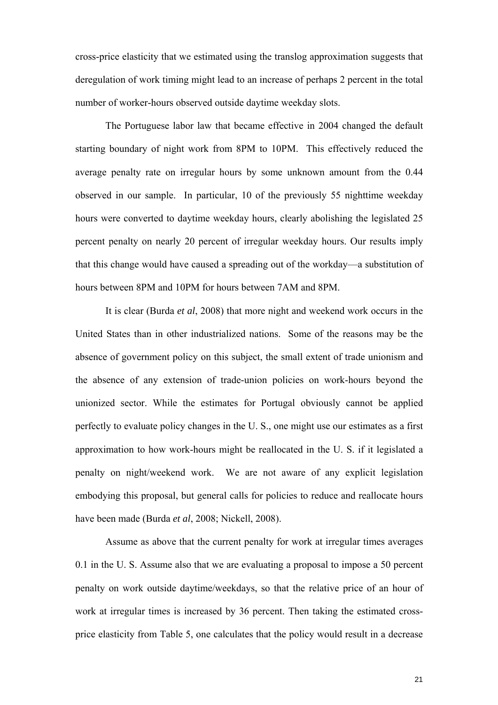cross-price elasticity that we estimated using the translog approximation suggests that deregulation of work timing might lead to an increase of perhaps 2 percent in the total number of worker-hours observed outside daytime weekday slots.

The Portuguese labor law that became effective in 2004 changed the default starting boundary of night work from 8PM to 10PM. This effectively reduced the average penalty rate on irregular hours by some unknown amount from the 0.44 observed in our sample. In particular, 10 of the previously 55 nighttime weekday hours were converted to daytime weekday hours, clearly abolishing the legislated 25 percent penalty on nearly 20 percent of irregular weekday hours. Our results imply that this change would have caused a spreading out of the workday—a substitution of hours between 8PM and 10PM for hours between 7AM and 8PM.

It is clear (Burda *et al*, 2008) that more night and weekend work occurs in the United States than in other industrialized nations. Some of the reasons may be the absence of government policy on this subject, the small extent of trade unionism and the absence of any extension of trade-union policies on work-hours beyond the unionized sector. While the estimates for Portugal obviously cannot be applied perfectly to evaluate policy changes in the U. S., one might use our estimates as a first approximation to how work-hours might be reallocated in the U. S. if it legislated a penalty on night/weekend work. We are not aware of any explicit legislation embodying this proposal, but general calls for policies to reduce and reallocate hours have been made (Burda *et al*, 2008; Nickell, 2008).

Assume as above that the current penalty for work at irregular times averages 0.1 in the U. S. Assume also that we are evaluating a proposal to impose a 50 percent penalty on work outside daytime/weekdays, so that the relative price of an hour of work at irregular times is increased by 36 percent. Then taking the estimated crossprice elasticity from Table 5, one calculates that the policy would result in a decrease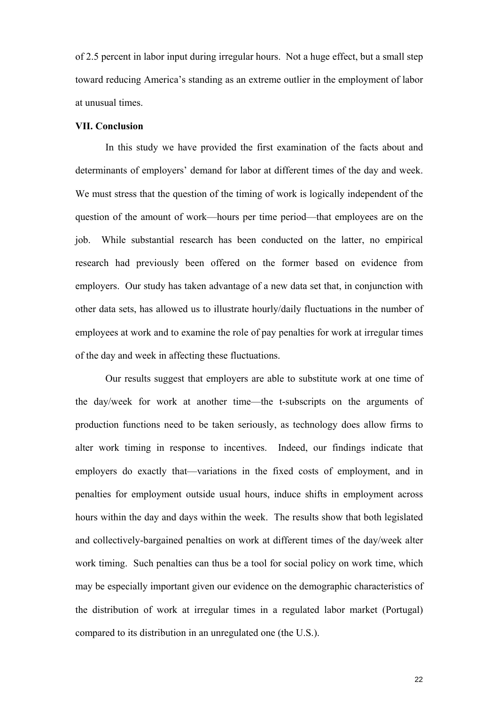of 2.5 percent in labor input during irregular hours. Not a huge effect, but a small step toward reducing America's standing as an extreme outlier in the employment of labor at unusual times.

## **VII. Conclusion**

In this study we have provided the first examination of the facts about and determinants of employers' demand for labor at different times of the day and week. We must stress that the question of the timing of work is logically independent of the question of the amount of work—hours per time period—that employees are on the job. While substantial research has been conducted on the latter, no empirical research had previously been offered on the former based on evidence from employers. Our study has taken advantage of a new data set that, in conjunction with other data sets, has allowed us to illustrate hourly/daily fluctuations in the number of employees at work and to examine the role of pay penalties for work at irregular times of the day and week in affecting these fluctuations.

Our results suggest that employers are able to substitute work at one time of the day/week for work at another time—the t-subscripts on the arguments of production functions need to be taken seriously, as technology does allow firms to alter work timing in response to incentives. Indeed, our findings indicate that employers do exactly that—variations in the fixed costs of employment, and in penalties for employment outside usual hours, induce shifts in employment across hours within the day and days within the week. The results show that both legislated and collectively-bargained penalties on work at different times of the day/week alter work timing. Such penalties can thus be a tool for social policy on work time, which may be especially important given our evidence on the demographic characteristics of the distribution of work at irregular times in a regulated labor market (Portugal) compared to its distribution in an unregulated one (the U.S.).

22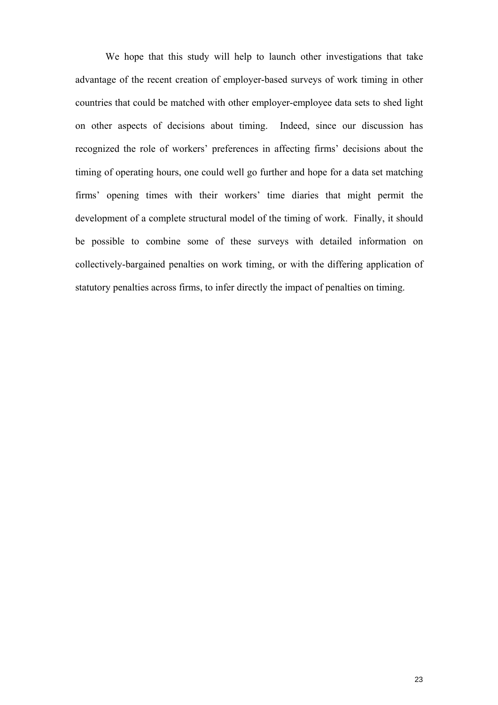We hope that this study will help to launch other investigations that take advantage of the recent creation of employer-based surveys of work timing in other countries that could be matched with other employer-employee data sets to shed light on other aspects of decisions about timing. Indeed, since our discussion has recognized the role of workers' preferences in affecting firms' decisions about the timing of operating hours, one could well go further and hope for a data set matching firms' opening times with their workers' time diaries that might permit the development of a complete structural model of the timing of work. Finally, it should be possible to combine some of these surveys with detailed information on collectively-bargained penalties on work timing, or with the differing application of statutory penalties across firms, to infer directly the impact of penalties on timing.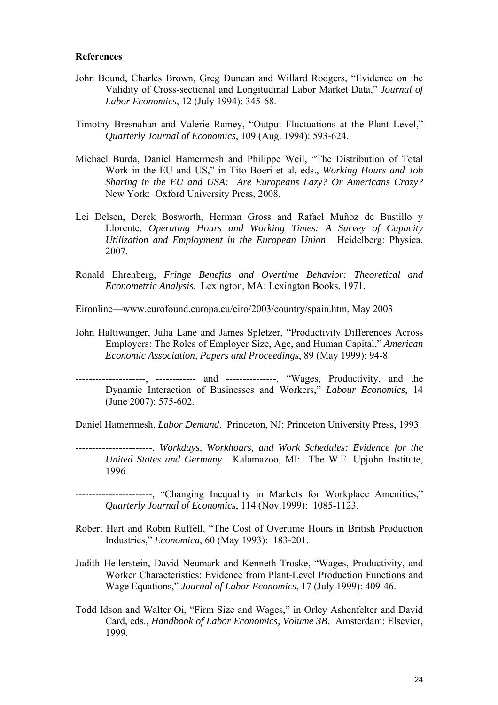#### **References**

- John Bound, Charles Brown, Greg Duncan and Willard Rodgers, "Evidence on the Validity of Cross-sectional and Longitudinal Labor Market Data," *Journal of Labor Economics*, 12 (July 1994): 345-68.
- Timothy Bresnahan and Valerie Ramey, "Output Fluctuations at the Plant Level," *Quarterly Journal of Economics*, 109 (Aug. 1994): 593-624.
- Michael Burda, Daniel Hamermesh and Philippe Weil, "The Distribution of Total Work in the EU and US," in Tito Boeri et al, eds., *Working Hours and Job Sharing in the EU and USA: Are Europeans Lazy? Or Americans Crazy?* New York: Oxford University Press, 2008.
- Lei Delsen, Derek Bosworth, Herman Gross and Rafael Muñoz de Bustillo y Llorente. *Operating Hours and Working Times: A Survey of Capacity Utilization and Employment in the European Union*. Heidelberg: Physica, 2007.
- Ronald Ehrenberg, *Fringe Benefits and Overtime Behavior: Theoretical and Econometric Analysis*. Lexington, MA: Lexington Books, 1971.

Eironline—www.eurofound.europa.eu/eiro/2003/country/spain.htm, May 2003

John Haltiwanger, Julia Lane and James Spletzer, "Productivity Differences Across Employers: The Roles of Employer Size, Age, and Human Capital," *American Economic Association, Papers and Proceedings*, 89 (May 1999): 94-8.

---------------------, ------------ and ---------------, "Wages, Productivity, and the Dynamic Interaction of Businesses and Workers," *Labour Economics*, 14 (June 2007): 575-602.

Daniel Hamermesh, *Labor Demand*. Princeton, NJ: Princeton University Press, 1993.

-----------------------, *Workdays, Workhours, and Work Schedules: Evidence for the United States and Germany*. Kalamazoo, MI: The W.E. Upjohn Institute, 1996

-----------------------, "Changing Inequality in Markets for Workplace Amenities," *Quarterly Journal of Economics*, 114 (Nov.1999): 1085-1123.

- Robert Hart and Robin Ruffell, "The Cost of Overtime Hours in British Production Industries," *Economica*, 60 (May 1993): 183-201.
- Judith Hellerstein, David Neumark and Kenneth Troske, "Wages, Productivity, and Worker Characteristics: Evidence from Plant-Level Production Functions and Wage Equations," *Journal of Labor Economics*, 17 (July 1999): 409-46.
- Todd Idson and Walter Oi, "Firm Size and Wages," in Orley Ashenfelter and David Card, eds., *Handbook of Labor Economics, Volume 3B*. Amsterdam: Elsevier, 1999.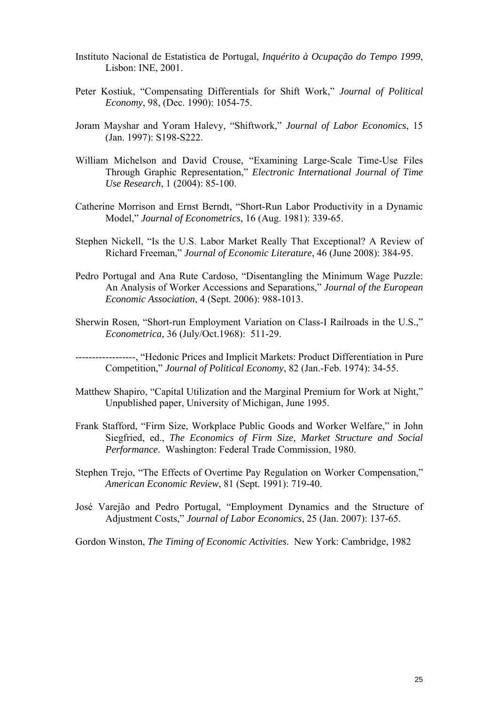- Instituto Nacional de Estatistica de Portugal, *Inquérito à Ocupação do Tempo 1999*, Lisbon: INE, 2001.
- Peter Kostiuk, "Compensating Differentials for Shift Work," *Journal of Political Economy*, 98, (Dec. 1990): 1054-75.
- Joram Mayshar and Yoram Halevy, "Shiftwork," *Journal of Labor Economics*, 15 (Jan. 1997): S198-S222.
- William Michelson and David Crouse, "Examining Large-Scale Time-Use Files Through Graphic Representation," *Electronic International Journal of Time Use Research*, 1 (2004): 85-100.
- Catherine Morrison and Ernst Berndt, "Short-Run Labor Productivity in a Dynamic Model," *Journal of Econometrics*, 16 (Aug. 1981): 339-65.
- Stephen Nickell, "Is the U.S. Labor Market Really That Exceptional? A Review of Richard Freeman," *Journal of Economic Literature*, 46 (June 2008): 384-95.
- Pedro Portugal and Ana Rute Cardoso, "Disentangling the Minimum Wage Puzzle: An Analysis of Worker Accessions and Separations," *Journal of the European Economic Association*, 4 (Sept. 2006): 988-1013.
- Sherwin Rosen, "Short-run Employment Variation on Class-I Railroads in the U.S.," *Econometrica*, 36 (July/Oct.1968): 511-29.

------------------, "Hedonic Prices and Implicit Markets: Product Differentiation in Pure Competition," *Journal of Political Economy*, 82 (Jan.-Feb. 1974): 34-55.

- Matthew Shapiro, "Capital Utilization and the Marginal Premium for Work at Night," Unpublished paper, University of Michigan, June 1995.
- Frank Stafford, "Firm Size, Workplace Public Goods and Worker Welfare," in John Siegfried, ed., *The Economics of Firm Size, Market Structure and Social Performance*. Washington: Federal Trade Commission, 1980.
- Stephen Trejo, "The Effects of Overtime Pay Regulation on Worker Compensation," *American Economic Review*, 81 (Sept. 1991): 719-40.
- José Varejão and Pedro Portugal, "Employment Dynamics and the Structure of Adjustment Costs," *Journal of Labor Economics*, 25 (Jan. 2007): 137-65.

Gordon Winston, *The Timing of Economic Activities*. New York: Cambridge, 1982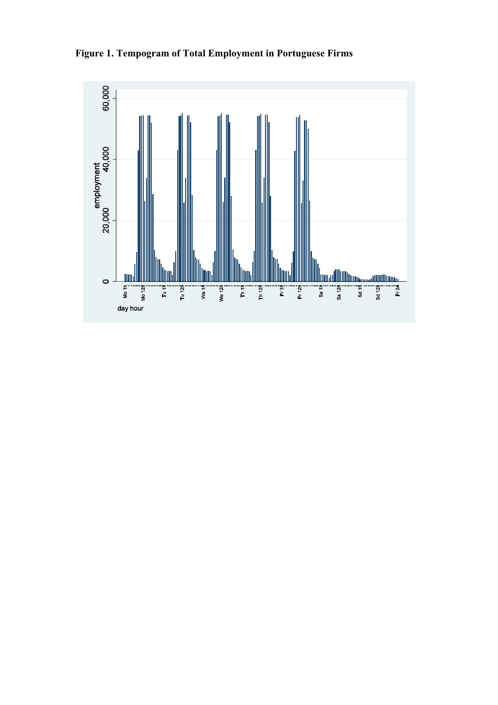**Figure 1. Tempogram of Total Employment in Portuguese Firms** 

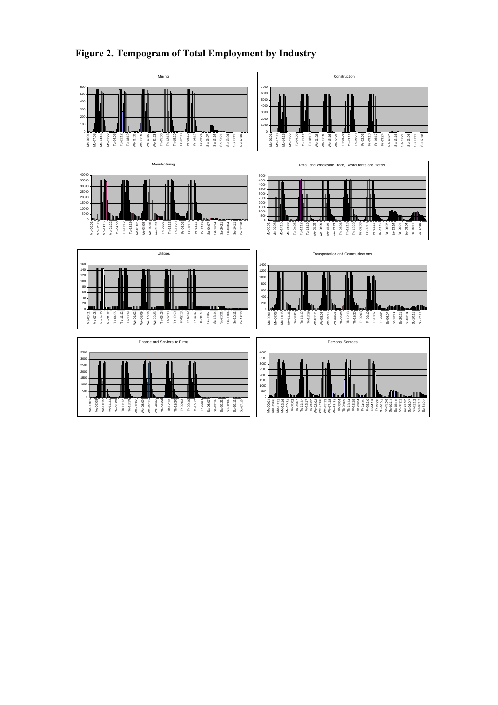

Su-17:18

# **Figure 2. Tempogram of Total Employment by Industry**

Mo-00:01

Mo-07:08 Mo-14:15 Mo-21:22 Tu-04:05 Tu-11:12 Tu-18:19 We-01:02 We-08:09 We-15:16 We-22:23 Th-05:06 Th-12:13 Th-19:20 Fr-02:03 Fr-09:10 Fr-16:17 Fr-23:24 Sa-06:07 Sa-13:14 Sa-20:21 Su-03:04 Su-10:11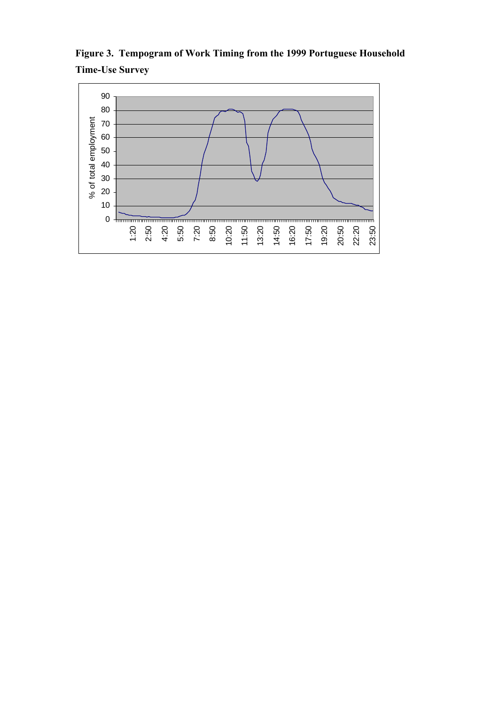

**Figure 3. Tempogram of Work Timing from the 1999 Portuguese Household Time-Use Survey**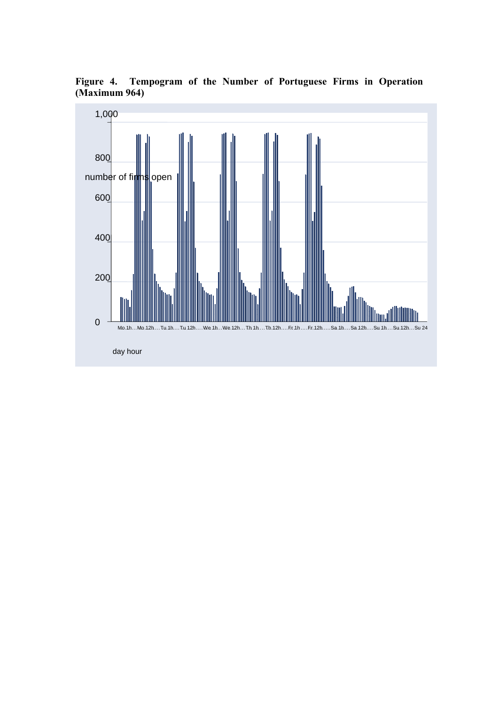**Figure 4. Tempogram of the Number of Portuguese Firms in Operation (Maximum 964)** 

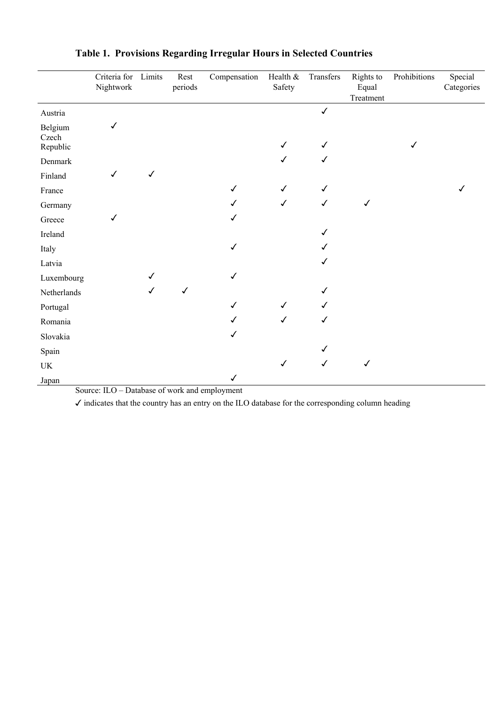|                                 | Criteria for<br>Nightwork | Limits       | Rest<br>periods | Compensation | Health &<br>Safety | Transfers    | Rights to<br>Equal<br>Treatment | Prohibitions | Special<br>Categories |
|---------------------------------|---------------------------|--------------|-----------------|--------------|--------------------|--------------|---------------------------------|--------------|-----------------------|
| Austria                         |                           |              |                 |              |                    | $\checkmark$ |                                 |              |                       |
| Belgium<br>Czech<br>Republic    | $\checkmark$              |              |                 |              | $\checkmark$       |              |                                 | $\checkmark$ |                       |
| Denmark                         |                           |              |                 |              | $\checkmark$       | ✓            |                                 |              |                       |
| Finland                         | ✓                         | $\checkmark$ |                 |              |                    |              |                                 |              |                       |
| France                          |                           |              |                 | $\checkmark$ | $\checkmark$       |              |                                 |              |                       |
| Germany                         |                           |              |                 | ✓            | $\checkmark$       | $\checkmark$ | $\checkmark$                    |              |                       |
| Greece                          | ✓                         |              |                 |              |                    |              |                                 |              |                       |
| Ireland                         |                           |              |                 |              |                    |              |                                 |              |                       |
| Italy                           |                           |              |                 | ✓            |                    |              |                                 |              |                       |
| Latvia                          |                           |              |                 |              |                    |              |                                 |              |                       |
| Luxembourg                      |                           | √            |                 | ✓            |                    |              |                                 |              |                       |
| Netherlands                     |                           | $\checkmark$ | $\checkmark$    |              |                    |              |                                 |              |                       |
| Portugal                        |                           |              |                 | $\checkmark$ | $\checkmark$       |              |                                 |              |                       |
| Romania                         |                           |              |                 | ✓            | $\checkmark$       | ✓            |                                 |              |                       |
| Slovakia                        |                           |              |                 | ✓            |                    |              |                                 |              |                       |
| Spain                           |                           |              |                 |              |                    |              |                                 |              |                       |
| $\ensuremath{\text{UK}}\xspace$ |                           |              |                 |              | $\checkmark$       | $\checkmark$ | $\checkmark$                    |              |                       |
| Japan                           |                           |              |                 | $\checkmark$ |                    |              |                                 |              |                       |

# **Table 1. Provisions Regarding Irregular Hours in Selected Countries**

Source: ILO – Database of work and employment

✓ indicates that the country has an entry on the ILO database for the corresponding column heading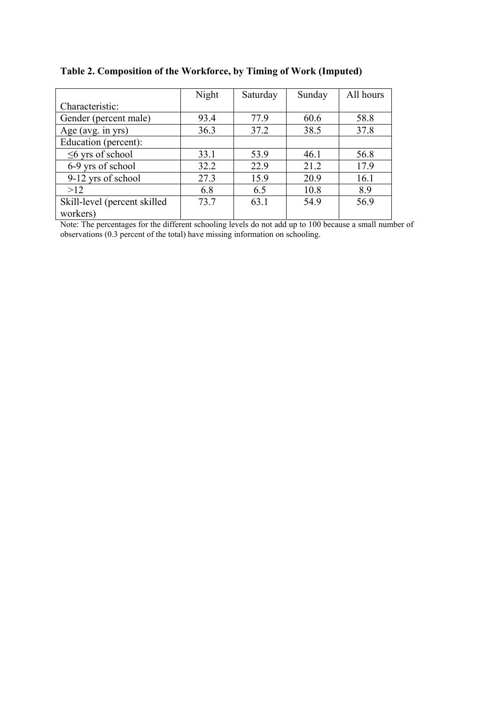|                              | Night | Saturday | Sunday | All hours |
|------------------------------|-------|----------|--------|-----------|
| Characteristic:              |       |          |        |           |
| Gender (percent male)        | 93.4  | 77.9     | 60.6   | 58.8      |
| Age (avg. in yrs)            | 36.3  | 37.2     | 38.5   | 37.8      |
| Education (percent):         |       |          |        |           |
| $\leq$ yrs of school         | 33.1  | 53.9     | 46.1   | 56.8      |
| 6-9 yrs of school            | 32.2  | 22.9     | 21.2   | 17.9      |
| 9-12 yrs of school           | 27.3  | 15.9     | 20.9   | 16.1      |
| >12                          | 6.8   | 6.5      | 10.8   | 8.9       |
| Skill-level (percent skilled | 73.7  | 63.1     | 54.9   | 56.9      |
| workers)                     |       |          |        |           |

**Table 2. Composition of the Workforce, by Timing of Work (Imputed)** 

Note: The percentages for the different schooling levels do not add up to 100 because a small number of observations (0.3 percent of the total) have missing information on schooling.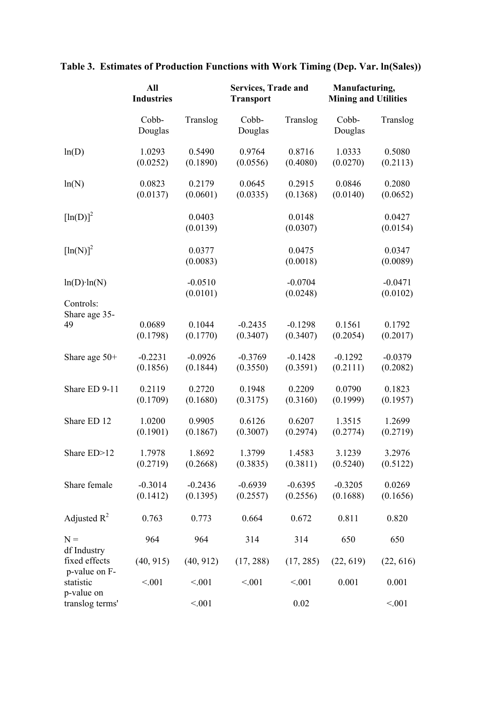|                                               | All<br><b>Industries</b> |                       | <b>Services, Trade and</b><br><b>Transport</b> |                       | Manufacturing,<br><b>Mining and Utilities</b> |                       |
|-----------------------------------------------|--------------------------|-----------------------|------------------------------------------------|-----------------------|-----------------------------------------------|-----------------------|
|                                               | Cobb-<br>Douglas         | Translog              | Cobb-<br>Douglas                               | Translog              | Cobb-<br>Douglas                              | Translog              |
| ln(D)                                         | 1.0293<br>(0.0252)       | 0.5490<br>(0.1890)    | 0.9764<br>(0.0556)                             | 0.8716<br>(0.4080)    | 1.0333<br>(0.0270)                            | 0.5080<br>(0.2113)    |
| ln(N)                                         | 0.0823<br>(0.0137)       | 0.2179<br>(0.0601)    | 0.0645<br>(0.0335)                             | 0.2915<br>(0.1368)    | 0.0846<br>(0.0140)                            | 0.2080<br>(0.0652)    |
| $[\ln(D)]^2$                                  |                          | 0.0403<br>(0.0139)    |                                                | 0.0148<br>(0.0307)    |                                               | 0.0427<br>(0.0154)    |
| $[\ln(N)]^2$                                  |                          | 0.0377<br>(0.0083)    |                                                | 0.0475<br>(0.0018)    |                                               | 0.0347<br>(0.0089)    |
| $ln(D)$ · $ln(N)$                             |                          | $-0.0510$<br>(0.0101) |                                                | $-0.0704$<br>(0.0248) |                                               | $-0.0471$<br>(0.0102) |
| Controls:<br>Share age 35-<br>49              | 0.0689<br>(0.1798)       | 0.1044<br>(0.1770)    | $-0.2435$<br>(0.3407)                          | $-0.1298$<br>(0.3407) | 0.1561<br>(0.2054)                            | 0.1792<br>(0.2017)    |
| Share age $50+$                               | $-0.2231$<br>(0.1856)    | $-0.0926$<br>(0.1844) | $-0.3769$<br>(0.3550)                          | $-0.1428$<br>(0.3591) | $-0.1292$<br>(0.2111)                         | $-0.0379$<br>(0.2082) |
| Share ED 9-11                                 | 0.2119<br>(0.1709)       | 0.2720<br>(0.1680)    | 0.1948<br>(0.3175)                             | 0.2209<br>(0.3160)    | 0.0790<br>(0.1999)                            | 0.1823<br>(0.1957)    |
| Share ED 12                                   | 1.0200<br>(0.1901)       | 0.9905<br>(0.1867)    | 0.6126<br>(0.3007)                             | 0.6207<br>(0.2974)    | 1.3515<br>(0.2774)                            | 1.2699<br>(0.2719)    |
| Share ED>12                                   | 1.7978<br>(0.2719)       | 1.8692<br>(0.2668)    | 1.3799<br>(0.3835)                             | 1.4583<br>(0.3811)    | 3.1239<br>(0.5240)                            | 3.2976<br>(0.5122)    |
| Share female                                  | $-0.3014$<br>(0.1412)    | $-0.2436$<br>(0.1395) | $-0.6939$<br>(0.2557)                          | $-0.6395$<br>(0.2556) | $-0.3205$<br>(0.1688)                         | 0.0269<br>(0.1656)    |
| Adjusted $R^2$                                | 0.763                    | 0.773                 | 0.664                                          | 0.672                 | 0.811                                         | 0.820                 |
| $N =$                                         | 964                      | 964                   | 314                                            | 314                   | 650                                           | 650                   |
| df Industry<br>fixed effects<br>p-value on F- | (40, 915)                | (40, 912)             | (17, 288)                                      | (17, 285)             | (22, 619)                                     | (22, 616)             |
| statistic                                     | < 0.01                   | < 0.01                | < 0.01                                         | < 0.01                | 0.001                                         | 0.001                 |
| p-value on<br>translog terms'                 |                          | < 0.01                |                                                | 0.02                  |                                               | < 0.01                |

# **Table 3. Estimates of Production Functions with Work Timing (Dep. Var. ln(Sales))**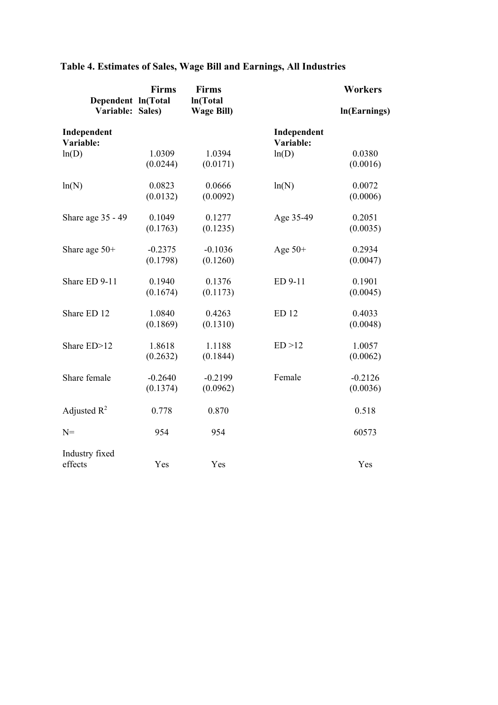| Dependent ln(Total       | <b>Firms</b> | <b>Firms</b><br><b>In(Total</b> |                          | <b>Workers</b> |
|--------------------------|--------------|---------------------------------|--------------------------|----------------|
| Variable: Sales)         |              | <b>Wage Bill)</b>               |                          | In(Earnings)   |
| Independent<br>Variable: |              |                                 | Independent<br>Variable: |                |
| ln(D)                    | 1.0309       | 1.0394                          | ln(D)                    | 0.0380         |
|                          | (0.0244)     | (0.0171)                        |                          | (0.0016)       |
| ln(N)                    | 0.0823       | 0.0666                          | ln(N)                    | 0.0072         |
|                          | (0.0132)     | (0.0092)                        |                          | (0.0006)       |
| Share age 35 - 49        | 0.1049       | 0.1277                          | Age 35-49                | 0.2051         |
|                          | (0.1763)     | (0.1235)                        |                          | (0.0035)       |
| Share age $50+$          | $-0.2375$    | $-0.1036$                       | Age $50+$                | 0.2934         |
|                          | (0.1798)     | (0.1260)                        |                          | (0.0047)       |
| Share ED 9-11            | 0.1940       | 0.1376                          | ED 9-11                  | 0.1901         |
|                          | (0.1674)     | (0.1173)                        |                          | (0.0045)       |
| Share ED 12              | 1.0840       | 0.4263                          | <b>ED 12</b>             | 0.4033         |
|                          | (0.1869)     | (0.1310)                        |                          | (0.0048)       |
| Share ED>12              | 1.8618       | 1.1188                          | ED > 12                  | 1.0057         |
|                          | (0.2632)     | (0.1844)                        |                          | (0.0062)       |
| Share female             | $-0.2640$    | $-0.2199$                       | Female                   | $-0.2126$      |
|                          | (0.1374)     | (0.0962)                        |                          | (0.0036)       |
| Adjusted $R^2$           | 0.778        | 0.870                           |                          | 0.518          |
| $N =$                    | 954          | 954                             |                          | 60573          |
| Industry fixed           |              |                                 |                          |                |
| effects                  | Yes          | Yes                             |                          | Yes            |

# **Table 4. Estimates of Sales, Wage Bill and Earnings, All Industries**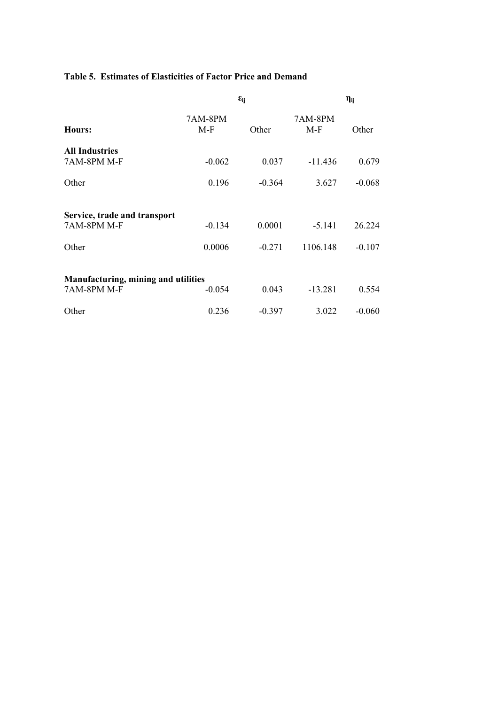# **Table 5. Estimates of Elasticities of Factor Price and Demand**

|                                             |                  | $\varepsilon_{ij}$ |                  | $\eta_{ij}$ |
|---------------------------------------------|------------------|--------------------|------------------|-------------|
| Hours:                                      | 7AM-8PM<br>$M-F$ | Other              | 7AM-8PM<br>$M-F$ | Other       |
| <b>All Industries</b><br>7AM-8PM M-F        | $-0.062$         | 0.037              | $-11.436$        | 0.679       |
| Other                                       | 0.196            | $-0.364$           | 3.627            | $-0.068$    |
| Service, trade and transport<br>7AM-8PM M-F | $-0.134$         | 0.0001             | $-5.141$         | 26.224      |
| Other                                       | 0.0006           | $-0.271$           | 1106.148         | $-0.107$    |
| Manufacturing, mining and utilities         |                  |                    |                  |             |
| 7AM-8PM M-F                                 | $-0.054$         | 0.043              | $-13.281$        | 0.554       |
| Other                                       | 0.236            | $-0.397$           | 3.022            | $-0.060$    |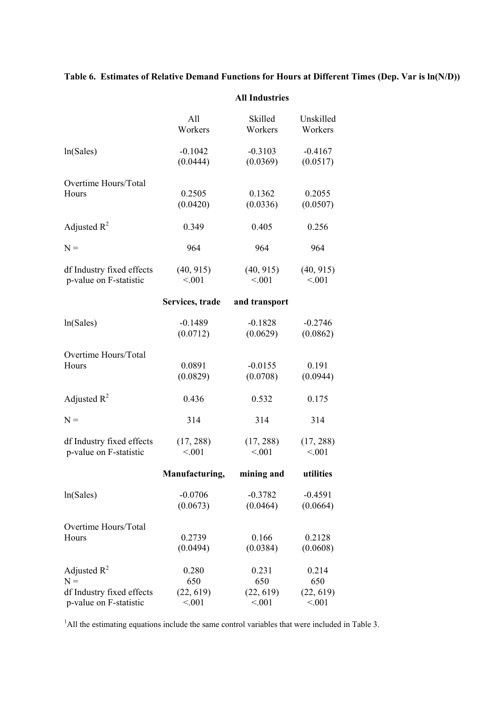# **Table 6. Estimates of Relative Demand Functions for Hours at Different Times (Dep. Var is ln(N/D))**

|                               | All                 | Skilled       | Unskilled |  |
|-------------------------------|---------------------|---------------|-----------|--|
|                               | Workers             | Workers       | Workers   |  |
| ln(Sales)                     | $-0.1042$           | $-0.3103$     | $-0.4167$ |  |
|                               | (0.0444)            | (0.0369)      | (0.0517)  |  |
|                               |                     |               |           |  |
| Overtime Hours/Total          |                     |               |           |  |
| Hours                         | 0.2505              | 0.1362        | 0.2055    |  |
|                               | (0.0420)            | (0.0336)      | (0.0507)  |  |
| Adjusted $R^2$                | 0.349               | 0.405         | 0.256     |  |
|                               |                     |               |           |  |
| $N =$                         | 964                 | 964           | 964       |  |
| df Industry fixed effects     | (40, 915)           | (40, 915)     | (40, 915) |  |
| p-value on F-statistic        | < 0.01              | < 0.01        | < 0.01    |  |
|                               | Services, trade     | and transport |           |  |
|                               |                     |               |           |  |
| ln(Sales)                     | $-0.1489$           | $-0.1828$     | $-0.2746$ |  |
|                               | (0.0712)            | (0.0629)      | (0.0862)  |  |
| Overtime Hours/Total          |                     |               |           |  |
| Hours                         | 0.0891              | $-0.0155$     | 0.191     |  |
|                               | (0.0829)            | (0.0708)      | (0.0944)  |  |
|                               |                     |               |           |  |
| Adjusted $R^2$                | 0.436               | 0.532         | 0.175     |  |
| $N =$                         | 314                 | 314           | 314       |  |
|                               |                     |               |           |  |
| df Industry fixed effects     | (17, 288)<br>< 0.01 | (17, 288)     | (17, 288) |  |
| p-value on F-statistic        |                     | < 0.01        | < 0.01    |  |
|                               | Manufacturing,      | mining and    | utilities |  |
| ln(Sales)                     | $-0.0706$           | $-0.3782$     | $-0.4591$ |  |
|                               | (0.0673)            | (0.0464)      | (0.0664)  |  |
|                               |                     |               |           |  |
| Overtime Hours/Total<br>Hours | 0.2739              | 0.166         | 0.2128    |  |
|                               | (0.0494)            | (0.0384)      | (0.0608)  |  |
|                               |                     |               |           |  |
| Adjusted $R^2$                | 0.280               | 0.231         | 0.214     |  |
| $N =$                         | 650                 | 650           | 650       |  |
| df Industry fixed effects     | (22, 619)           | (22, 619)     | (22, 619) |  |
| p-value on F-statistic        | < 0.01              | < 0.01        | < 0.01    |  |

#### **All Industries**

<sup>1</sup>All the estimating equations include the same control variables that were included in Table 3.